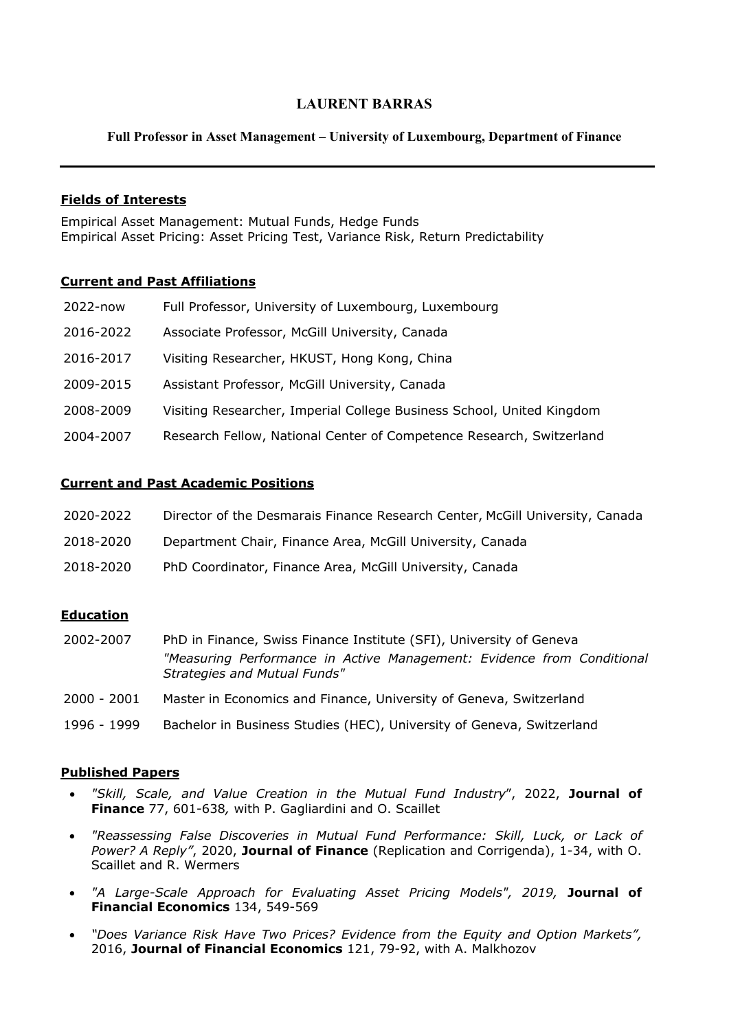# **LAURENT BARRAS**

## **Full Professor in Asset Management – University of Luxembourg, Department of Finance**

## **Fields of Interests**

Empirical Asset Management: Mutual Funds, Hedge Funds Empirical Asset Pricing: Asset Pricing Test, Variance Risk, Return Predictability

## **Current and Past Affiliations**

| 2022-now  | Full Professor, University of Luxembourg, Luxembourg                  |
|-----------|-----------------------------------------------------------------------|
| 2016-2022 | Associate Professor, McGill University, Canada                        |
| 2016-2017 | Visiting Researcher, HKUST, Hong Kong, China                          |
| 2009-2015 | Assistant Professor, McGill University, Canada                        |
| 2008-2009 | Visiting Researcher, Imperial College Business School, United Kingdom |
| 2004-2007 | Research Fellow, National Center of Competence Research, Switzerland  |
|           |                                                                       |

## **Current and Past Academic Positions**

| 2020-2022 | Director of the Desmarais Finance Research Center, McGill University, Canada |
|-----------|------------------------------------------------------------------------------|
| 2018-2020 | Department Chair, Finance Area, McGill University, Canada                    |
| 2018-2020 | PhD Coordinator, Finance Area, McGill University, Canada                     |

## **Education**

- 2002-2007 PhD in Finance, Swiss Finance Institute (SFI), University of Geneva *"Measuring Performance in Active Management: Evidence from Conditional Strategies and Mutual Funds"*
- 2000 2001 Master in Economics and Finance, University of Geneva, Switzerland
- 1996 1999 Bachelor in Business Studies (HEC), University of Geneva, Switzerland

#### **Published Papers**

- *"Skill, Scale, and Value Creation in the Mutual Fund Industry*", 2022, **Journal of Finance** 77, 601-638*,* with P. Gagliardini and O. Scaillet
- *"Reassessing False Discoveries in Mutual Fund Performance: Skill, Luck, or Lack of Power? A Reply"*, 2020, **Journal of Finance** (Replication and Corrigenda), 1-34, with O. Scaillet and R. Wermers
- *"A Large-Scale Approach for Evaluating Asset Pricing Models", 2019,* **Journal of Financial Economics** 134, 549-569
- *"Does Variance Risk Have Two Prices? Evidence from the Equity and Option Markets",* 2016, **Journal of Financial Economics** 121, 79-92, with A. Malkhozov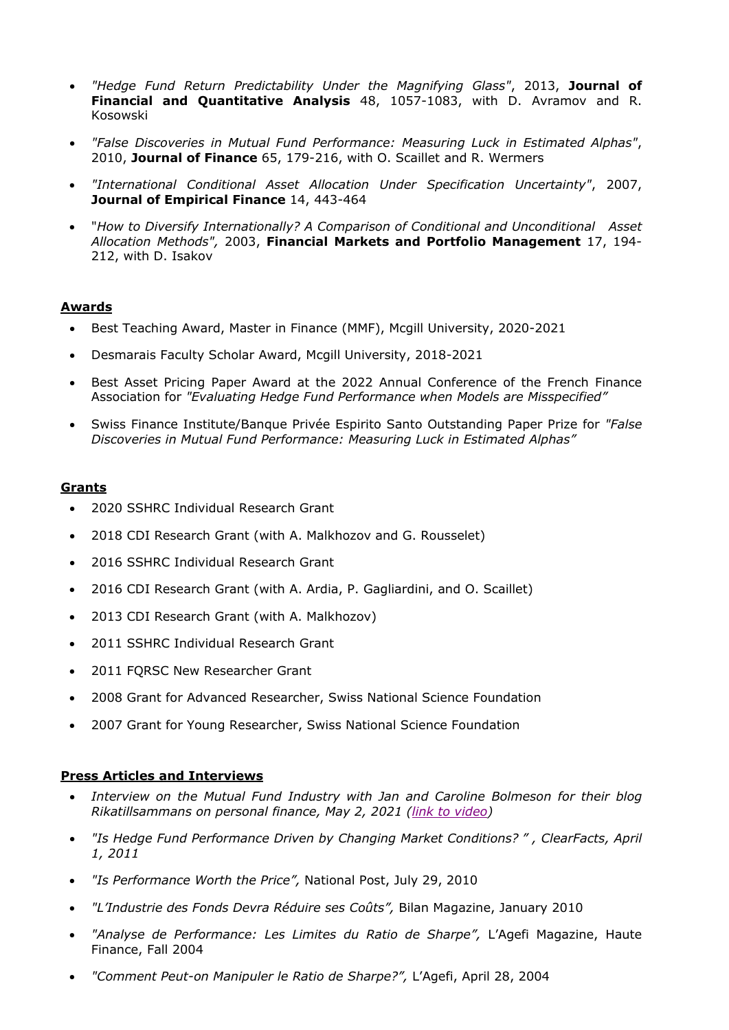- *"Hedge Fund Return Predictability Under the Magnifying Glass"*, 2013, **Journal of Financial and Quantitative Analysis** 48, 1057-1083, with D. Avramov and R. Kosowski
- *"False Discoveries in Mutual Fund Performance: Measuring Luck in Estimated Alphas"*, 2010, **Journal of Finance** 65, 179-216, with O. Scaillet and R. Wermers
- *"International Conditional Asset Allocation Under Specification Uncertainty"*, 2007, **Journal of Empirical Finance** 14, 443-464
- "*How to Diversify Internationally? A Comparison of Conditional and Unconditional Asset Allocation Methods",* 2003, **Financial Markets and Portfolio Management** 17, 194- 212, with D. Isakov

## **Awards**

- Best Teaching Award, Master in Finance (MMF), Mcgill University, 2020-2021
- Desmarais Faculty Scholar Award, Mcgill University, 2018-2021
- Best Asset Pricing Paper Award at the 2022 Annual Conference of the French Finance Association for *"Evaluating Hedge Fund Performance when Models are Misspecified"*
- Swiss Finance Institute/Banque Privée Espirito Santo Outstanding Paper Prize for *"False Discoveries in Mutual Fund Performance: Measuring Luck in Estimated Alphas"*

#### **Grants**

- 2020 SSHRC Individual Research Grant
- 2018 CDI Research Grant (with A. Malkhozov and G. Rousselet)
- 2016 SSHRC Individual Research Grant
- 2016 CDI Research Grant (with A. Ardia, P. Gagliardini, and O. Scaillet)
- 2013 CDI Research Grant (with A. Malkhozov)
- 2011 SSHRC Individual Research Grant
- 2011 FQRSC New Researcher Grant
- 2008 Grant for Advanced Researcher, Swiss National Science Foundation
- 2007 Grant for Young Researcher, Swiss National Science Foundation

## **Press Articles and Interviews**

- *Interview on the Mutual Fund Industry with Jan and Caroline Bolmeson for their blog Rikatillsammans on personal finance, May 2, 2021 [\(link to video\)](https://www.youtube.com/watch?app=desktop&v=hACBzZ5HBTQ&t=3454s)*
- *"Is Hedge Fund Performance Driven by Changing Market Conditions? " , ClearFacts, April 1, 2011*
- *"Is Performance Worth the Price",* National Post, July 29, 2010
- *"L'Industrie des Fonds Devra Réduire ses Coûts",* Bilan Magazine, January 2010
- *"Analyse de Performance: Les Limites du Ratio de Sharpe",* L'Agefi Magazine, Haute Finance, Fall 2004
- *"Comment Peut-on Manipuler le Ratio de Sharpe?",* L'Agefi, April 28, 2004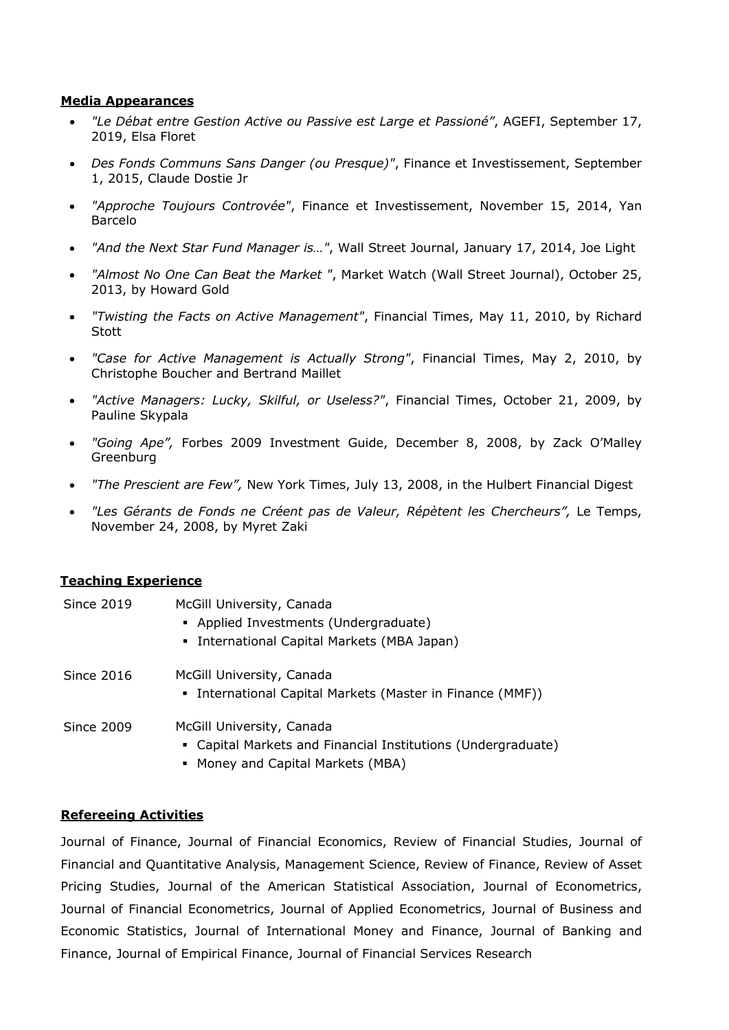## **Media Appearances**

- *"Le Débat entre Gestion Active ou Passive est Large et Passioné"*, AGEFI, September 17, 2019, Elsa Floret
- *Des Fonds Communs Sans Danger (ou Presque)"*, Finance et Investissement, September 1, 2015, Claude Dostie Jr
- *"Approche Toujours Controvée"*, Finance et Investissement, November 15, 2014, Yan Barcelo
- *"And the Next Star Fund Manager is…"*, Wall Street Journal, January 17, 2014, Joe Light
- *"Almost No One Can Beat the Market "*, Market Watch (Wall Street Journal), October 25, 2013, by Howard Gold
- *"Twisting the Facts on Active Management"*, Financial Times, May 11, 2010, by Richard **Stott**
- *"Case for Active Management is Actually Strong"*, Financial Times, May 2, 2010, by Christophe Boucher and Bertrand Maillet
- *"Active Managers: Lucky, Skilful, or Useless?"*, Financial Times, October 21, 2009, by Pauline Skypala
- *"Going Ape",* Forbes 2009 Investment Guide, December 8, 2008, by Zack O'Malley Greenburg
- *"The Prescient are Few",* New York Times, July 13, 2008, in the Hulbert Financial Digest
- *"Les Gérants de Fonds ne Créent pas de Valeur, Répètent les Chercheurs",* Le Temps, November 24, 2008, by Myret Zaki

#### **Teaching Experience**

| <b>Since 2019</b> | McGill University, Canada<br>• Applied Investments (Undergraduate)<br>• International Capital Markets (MBA Japan)              |
|-------------------|--------------------------------------------------------------------------------------------------------------------------------|
| <b>Since 2016</b> | McGill University, Canada<br>• International Capital Markets (Master in Finance (MMF))                                         |
| <b>Since 2009</b> | McGill University, Canada<br>• Capital Markets and Financial Institutions (Undergraduate)<br>• Money and Capital Markets (MBA) |

#### **Refereeing Activities**

Journal of Finance, Journal of Financial Economics, Review of Financial Studies, Journal of Financial and Quantitative Analysis, Management Science, Review of Finance, Review of Asset Pricing Studies, Journal of the American Statistical Association, Journal of Econometrics, Journal of Financial Econometrics, Journal of Applied Econometrics, Journal of Business and Economic Statistics, Journal of International Money and Finance, Journal of Banking and Finance, Journal of Empirical Finance, Journal of Financial Services Research